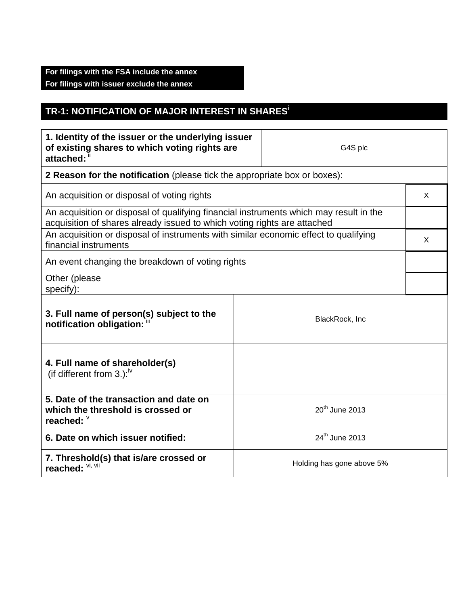## **For filings with the FSA include the annex For filings with issuer exclude the annex**

## **TR-1: NOTIFICATION OF MAJOR INTEREST IN SHARES<sup>i</sup>**

| 1. Identity of the issuer or the underlying issuer<br>of existing shares to which voting rights are<br>attached: "                                                 |                           | G4S plc                    |  |
|--------------------------------------------------------------------------------------------------------------------------------------------------------------------|---------------------------|----------------------------|--|
| 2 Reason for the notification (please tick the appropriate box or boxes):                                                                                          |                           |                            |  |
| An acquisition or disposal of voting rights                                                                                                                        |                           |                            |  |
| An acquisition or disposal of qualifying financial instruments which may result in the<br>acquisition of shares already issued to which voting rights are attached |                           |                            |  |
| An acquisition or disposal of instruments with similar economic effect to qualifying<br>financial instruments                                                      |                           |                            |  |
| An event changing the breakdown of voting rights                                                                                                                   |                           |                            |  |
| Other (please<br>specify):                                                                                                                                         |                           |                            |  |
| 3. Full name of person(s) subject to the<br>BlackRock, Inc<br>notification obligation: "                                                                           |                           |                            |  |
| 4. Full name of shareholder(s)<br>(if different from 3.): $W$                                                                                                      |                           |                            |  |
| 5. Date of the transaction and date on<br>which the threshold is crossed or<br>reached: $\degree$                                                                  |                           | 20 <sup>th</sup> June 2013 |  |
| 6. Date on which issuer notified:                                                                                                                                  |                           | 24 <sup>th</sup> June 2013 |  |
| 7. Threshold(s) that is/are crossed or<br>reached: VI, VII                                                                                                         | Holding has gone above 5% |                            |  |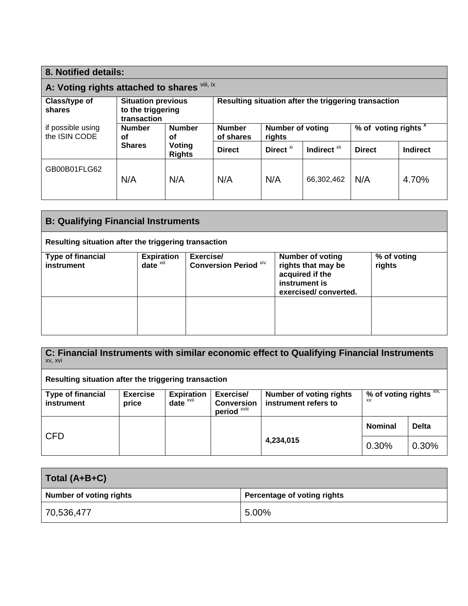| 8. Notified details:                         |                                                               |                            |                                                      |                      |                                 |               |          |
|----------------------------------------------|---------------------------------------------------------------|----------------------------|------------------------------------------------------|----------------------|---------------------------------|---------------|----------|
| A: Voting rights attached to shares Vili, ix |                                                               |                            |                                                      |                      |                                 |               |          |
| Class/type of<br>shares                      | <b>Situation previous</b><br>to the triggering<br>transaction |                            | Resulting situation after the triggering transaction |                      |                                 |               |          |
| if possible using<br>the ISIN CODE           | <b>Number</b><br><b>Number</b><br>οf<br>οf                    | <b>Number</b><br>of shares | <b>Number of voting</b><br>rights                    |                      | % of voting rights <sup>x</sup> |               |          |
|                                              | <b>Shares</b>                                                 | Voting<br><b>Rights</b>    | <b>Direct</b>                                        | Direct <sup>xi</sup> | Indirect <sup>xii</sup>         | <b>Direct</b> | Indirect |
| GB00B01FLG62                                 | N/A                                                           | N/A                        | N/A                                                  | N/A                  | 66,302,462                      | N/A           | 4.70%    |

| <b>B: Qualifying Financial Instruments</b>           |                                               |                                           |                                                                                                           |                       |  |
|------------------------------------------------------|-----------------------------------------------|-------------------------------------------|-----------------------------------------------------------------------------------------------------------|-----------------------|--|
| Resulting situation after the triggering transaction |                                               |                                           |                                                                                                           |                       |  |
| <b>Type of financial</b><br>instrument               | <b>Expiration</b><br>$date^{\overline{x}iii}$ | Exercise/<br><b>Conversion Period XIV</b> | <b>Number of voting</b><br>rights that may be<br>acquired if the<br>instrument is<br>exercised/converted. | % of voting<br>rights |  |
|                                                      |                                               |                                           |                                                                                                           |                       |  |

| C: Financial Instruments with similar economic effect to Qualifying Financial Instruments<br>XV, XVI |                          |                               |                                                           |                                                        |                                         |              |
|------------------------------------------------------------------------------------------------------|--------------------------|-------------------------------|-----------------------------------------------------------|--------------------------------------------------------|-----------------------------------------|--------------|
| Resulting situation after the triggering transaction                                                 |                          |                               |                                                           |                                                        |                                         |              |
| <b>Type of financial</b><br>instrument                                                               | <b>Exercise</b><br>price | <b>Expiration</b><br>$date^x$ | Exercise/<br><b>Conversion</b><br>period <sup>xviii</sup> | <b>Number of voting rights</b><br>instrument refers to | % of voting rights $XIX$ ,<br><b>XX</b> |              |
| <b>CFD</b>                                                                                           |                          |                               |                                                           |                                                        | <b>Nominal</b>                          | <b>Delta</b> |
|                                                                                                      |                          |                               |                                                           | 4,234,015                                              | 0.30%                                   | 0.30%        |

| Total (A+B+C)                  |                             |
|--------------------------------|-----------------------------|
| <b>Number of voting rights</b> | Percentage of voting rights |
| 70,536,477                     | 5.00%                       |